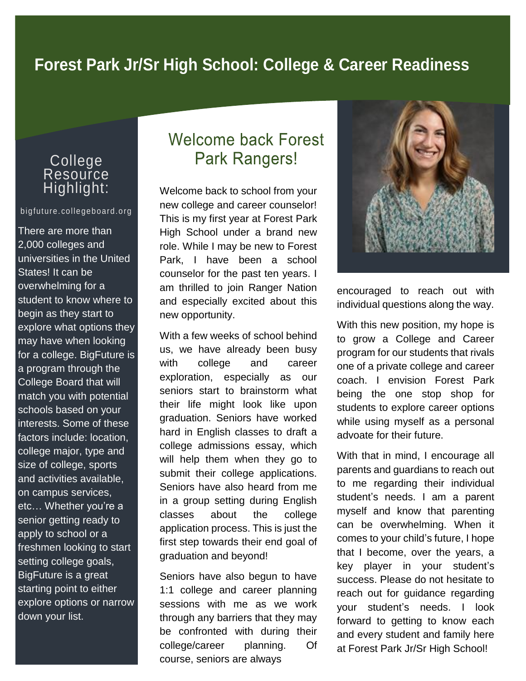# **Forest Park Jr/Sr High School: College & Career Readiness**

## College **Resource** Highlight:

#### bigfuture.collegeboard.org

There are more than 2,000 colleges and universities in the United States! It can be overwhelming for a student to know where to begin as they start to explore what options they may have when looking for a college. BigFuture is a program through the College Board that will match you with potential schools based on your interests. Some of these factors include: location, college major, type and size of college, sports and activities available, on campus services, etc… Whether you're a senior getting ready to apply to school or a freshmen looking to start setting college goals, BigFuture is a great starting point to either explore options or narrow down your list.

# **Welcome back Forest Park Rangers!**

Welcome back to school from your new college and career counselor! This is my first year at Forest Park High School under a brand new role. While I may be new to Forest Park, I have been a school counselor for the past ten years. I am thrilled to join Ranger Nation and especially excited about this new opportunity.

With a few weeks of school behind us, we have already been busy with college and career exploration, especially as our seniors start to brainstorm what their life might look like upon graduation. Seniors have worked hard in English classes to draft a college admissions essay, which will help them when they go to submit their college applications. Seniors have also heard from me in a group setting during English classes about the college application process. This is just the first step towards their end goal of graduation and beyond!

Seniors have also begun to have 1:1 college and career planning sessions with me as we work through any barriers that they may be confronted with during their college/career planning. Of course, seniors are always



encouraged to reach out with individual questions along the way.

With this new position, my hope is to grow a College and Career program for our students that rivals one of a private college and career coach. I envision Forest Park being the one stop shop for students to explore career options while using myself as a personal advoate for their future.

With that in mind, I encourage all parents and guardians to reach out to me regarding their individual student's needs. I am a parent myself and know that parenting can be overwhelming. When it comes to your child's future, I hope that I become, over the years, a key player in your student's success. Please do not hesitate to reach out for guidance regarding your student's needs. I look forward to getting to know each and every student and family here at Forest Park Jr/Sr High School!